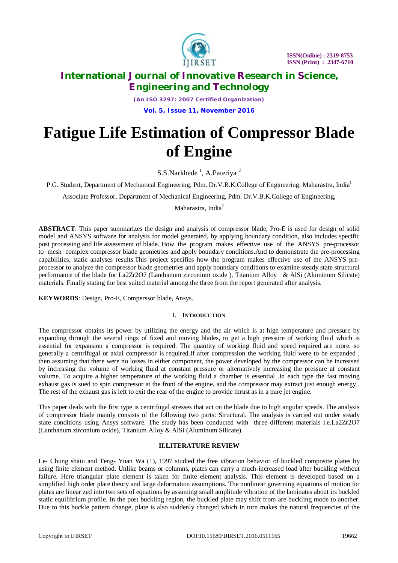

*(An ISO 3297: 2007 Certified Organization)*

**Vol. 5, Issue 11, November 2016**

# **Fatigue Life Estimation of Compressor Blade of Engine**

S.S.Narkhede<sup>1</sup>, A.Pateriya<sup>2</sup>

P.G. Student, Department of Mechanical Engineering, Pdm. Dr.V.B.K.College of Engineering, Maharastra, India<sup>1</sup>

Associate Professor, Department of Mechanical Engineering, Pdm. Dr.V.B.K.College of Engineering,

Maharastra, India<sup>2</sup>

**ABSTRACT**: This paper summarizes the design and analysis of compressor blade, Pro-E is used for design of solid model and ANSYS software for analysis for model generated, by applying boundary condition, also includes specific post processing and life assessment of blade. How the program makes effective use of the ANSYS pre-processor to mesh complex compressor blade geometries and apply boundary conditions.And to demonstrate the pre-processing capabilities, static analyses results.This project specifies how the program makes effective use of the ANSYS preprocessor to analyze the compressor blade geometries and apply boundary conditions to examine steady state structural performance of the blade for La2Zr2O7 (Lanthanum zirconium oxide ), Titanium Alloy & AlSi (Aluminum Silicate) materials. Finally stating the best suited material among the three from the report generated after analysis.

**KEYWORDS**: Design, Pro-E, Comperssor blade, Ansys.

#### I. **INTRODUCTION**

The compressor obtains its power by utilizing the energy and the air which is at high temperature and pressure by expanding through the several rings of fixed and moving blades, to get a high pressure of working fluid which is essential for expansion a compressor is required. The quantity of working fluid and speed required are more, so generally a centrifugal or axial compressor is required.If after compression the working fluid were to be expanded , then assuming that there were no losses in either component, the power developed by the compressor can be increased by increasing the volume of working fluid at constant pressure or alternatively increasing the pressure at constant volume. To acquire a higher temperature of the working fluid a chamber is essential .In each type the fast moving exhaust gas is sued to spin compressor at the front of the engine, and the compressor may extract just enough energy . The rest of the exhaust gas is left to exit the rear of the engine to provide thrust as in a pure jet engine.

This paper deals with the first type is centrifugal stresses that act on the blade due to high angular speeds. The analysis of compressor blade mainly consists of the following two parts: Structural. The analysis is carried out under steady state conditions using Ansys software. The study has been conducted with three different materials i.e.La2Zr2O7 (Lanthanum zirconium oxide), Titanium Alloy & AlSi (Aluminum Silicate).

### **II.LITERATURE REVIEW**

Le- Chung shaiu and Teng- Yuan Wa (1), 1997 studied the free vibration behavior of buckled composite plates by using finite element method. Unlike beams or columns, plates can carry a much-increased load after buckling without failure. Here triangular plate element is taken for finite element analysis. This element is developed based on a simplified high order plate theory and large deformation assumptions. The nonlinear governing equations of motion for plates are linear zed into two sets of equations by assuming small amplitude vibration of the laminates about its buckled static equilibrium profile. In the post buckling region, the buckled plate may shift from are buckling mode to another. Due to this buckle pattern change, plate is also suddenly changed which in turn makes the natural frequencies of the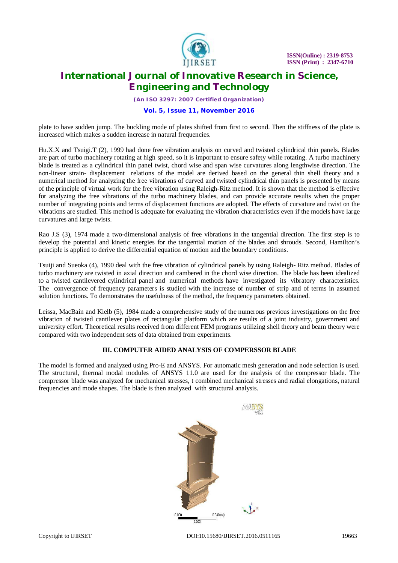

*(An ISO 3297: 2007 Certified Organization)*

#### **Vol. 5, Issue 11, November 2016**

plate to have sudden jump. The buckling mode of plates shifted from first to second. Then the stiffness of the plate is increased which makes a sudden increase in natural frequencies.

Hu.X.X and Tsuigi.T (2), 1999 had done free vibration analysis on curved and twisted cylindrical thin panels. Blades are part of turbo machinery rotating at high speed, so it is important to ensure safety while rotating. A turbo machinery blade is treated as a cylindrical thin panel twist, chord wise and span wise curvatures along lengthwise direction. The non-linear strain- displacement relations of the model are derived based on the general thin shell theory and a numerical method for analyzing the free vibrations of curved and twisted cylindrical thin panels is presented by means of the principle of virtual work for the free vibration using Raleigh-Ritz method. It is shown that the method is effective for analyzing the free vibrations of the turbo machinery blades, and can provide accurate results when the proper number of integrating points and terms of displacement functions are adopted. The effects of curvature and twist on the vibrations are studied. This method is adequate for evaluating the vibration characteristics even if the models have large curvatures and large twists.

Rao J.S (3), 1974 made a two-dimensional analysis of free vibrations in the tangential direction. The first step is to develop the potential and kinetic energies for the tangential motion of the blades and shrouds. Second, Hamilton's principle is applied to derive the differential equation of motion and the boundary conditions.

Tsuiji and Sueoka (4), 1990 deal with the free vibration of cylindrical panels by using Raleigh- Ritz method. Blades of turbo machinery are twisted in axial direction and cambered in the chord wise direction. The blade has been idealized to a twisted cantilevered cylindrical panel and numerical methods have investigated its vibratory characteristics. The convergence of frequency parameters is studied with the increase of number of strip and of terms in assumed solution functions. To demonstrates the usefulness of the method, the frequency parameters obtained.

Leissa, MacBain and Kielb (5), 1984 made a comprehensive study of the numerous previous investigations on the free vibration of twisted cantilever plates of rectangular platform which are results of a joint industry, government and university effort. Theoretical results received from different FEM programs utilizing shell theory and beam theory were compared with two independent sets of data obtained from experiments.

#### **III. COMPUTER AIDED ANALYSIS OF COMPERSSOR BLADE**

The model is formed and analyzed using Pro-E and ANSYS. For automatic mesh generation and node selection is used. The structural, thermal modal modules of ANSYS 11.0 are used for the analysis of the compressor blade. The compressor blade was analyzed for mechanical stresses, t combined mechanical stresses and radial elongations, natural frequencies and mode shapes. The blade is then analyzed with structural analysis.

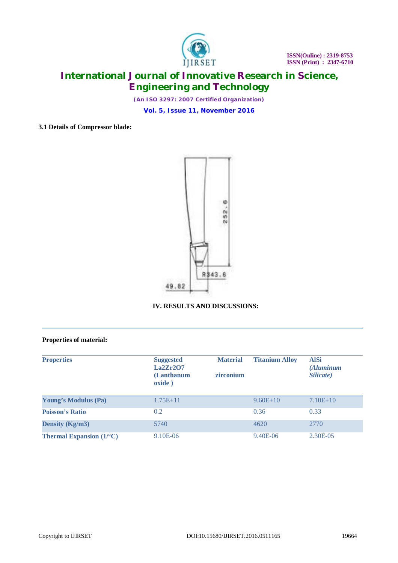

*(An ISO 3297: 2007 Certified Organization)*

**Vol. 5, Issue 11, November 2016**

#### **3.1 Details of Compressor blade:**



### **IV. RESULTS AND DISCUSSIONS:**

#### **Properties of material:**

| <b>Properties</b>                       | <b>Suggested</b><br>La2Zr2O7<br>(Lanthanum<br>oxide) | <b>Material</b><br>zirconium | <b>Titanium Alloy</b> | <b>AlSi</b><br><i>(Aluminum</i><br>Silicate) |
|-----------------------------------------|------------------------------------------------------|------------------------------|-----------------------|----------------------------------------------|
| <b>Young's Modulus (Pa)</b>             | $1.75E + 11$                                         |                              | $9.60E + 10$          | $7.10E+10$                                   |
| <b>Poisson's Ratio</b>                  | 0.2                                                  |                              | 0.36                  | 0.33                                         |
| Density ( $Kg/m3$ )                     | 5740                                                 |                              | 4620                  | 2770                                         |
| <b>Thermal Expansion</b> $(1)^{\circ}C$ | 9.10E-06                                             |                              | 9.40E-06              | 2.30E-05                                     |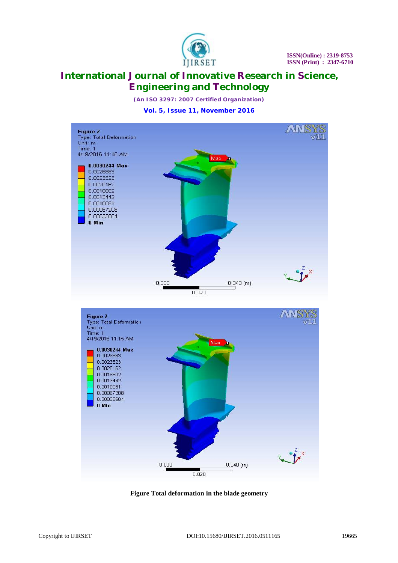

*(An ISO 3297: 2007 Certified Organization)*

#### **Vol. 5, Issue 11, November 2016**



**Figure Total deformation in the blade geometry**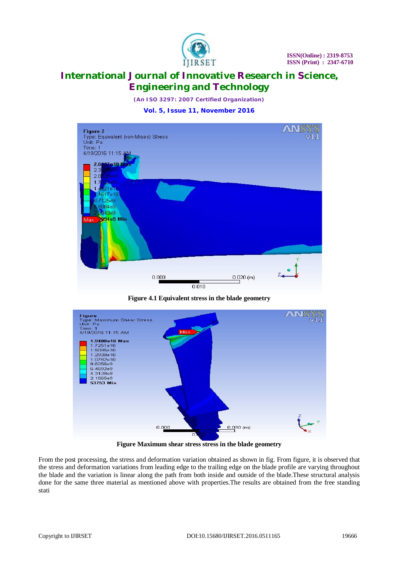

*(An ISO 3297: 2007 Certified Organization)*

#### **Vol. 5, Issue 11, November 2016**



**Figure 4.1 Equivalent stress in the blade geometry**



**Figure Maximum shear stress stress in the blade geometry**

From the post processing, the stress and deformation variation obtained as shown in fig. From figure, it is observed that the stress and deformation variations from leading edge to the trailing edge on the blade profile are varying throughout the blade and the variation is linear along the path from both inside and outside of the blade.These structural analysis done for the same three material as mentioned above with properties.The results are obtained from the free standing stati